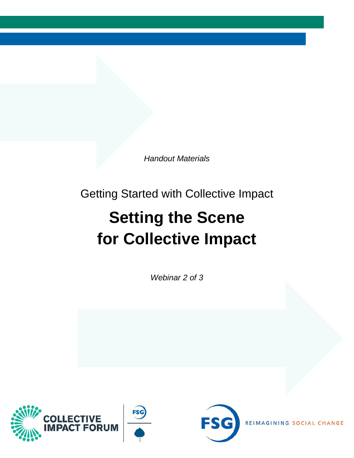*Handout Materials*

Getting Started with Collective Impact

## **Setting the Scene for Collective Impact**

*Webinar 2 of 3*





**REIMAGIN** ANGE C H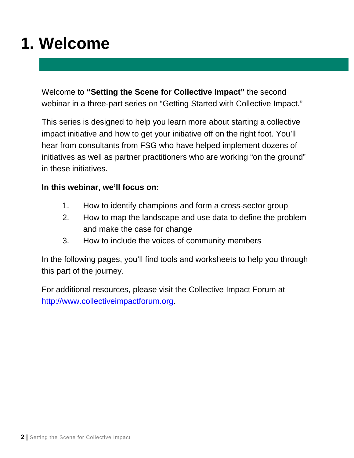### **1. Welcome**

Welcome to **"Setting the Scene for Collective Impact"** the second webinar in a three-part series on "Getting Started with Collective Impact."

This series is designed to help you learn more about starting a collective impact initiative and how to get your initiative off on the right foot. You'll hear from consultants from FSG who have helped implement dozens of initiatives as well as partner practitioners who are working "on the ground" in these initiatives.

#### **In this webinar, we'll focus on:**

- 1. How to identify champions and form a cross-sector group
- 2. How to map the landscape and use data to define the problem and make the case for change
- 3. How to include the voices of community members

In the following pages, you'll find tools and worksheets to help you through this part of the journey.

For additional resources, please visit the Collective Impact Forum at [http://www.collectiveimpactforum.org.](http://www.collectiveimpactforum.org/)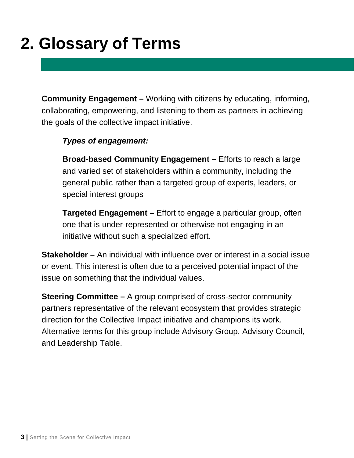## **2. Glossary of Terms**

**Community Engagement –** Working with citizens by educating, informing, collaborating, empowering, and listening to them as partners in achieving the goals of the collective impact initiative.

### *Types of engagement:*

**Broad-based Community Engagement –** Efforts to reach a large and varied set of stakeholders within a community, including the general public rather than a targeted group of experts, leaders, or special interest groups

**Targeted Engagement –** Effort to engage a particular group, often one that is under-represented or otherwise not engaging in an initiative without such a specialized effort.

**Stakeholder –** An individual with influence over or interest in a social issue or event. This interest is often due to a perceived potential impact of the issue on something that the individual values.

**Steering Committee –** A group comprised of cross-sector community partners representative of the relevant ecosystem that provides strategic direction for the Collective Impact initiative and champions its work. Alternative terms for this group include Advisory Group, Advisory Council, and Leadership Table.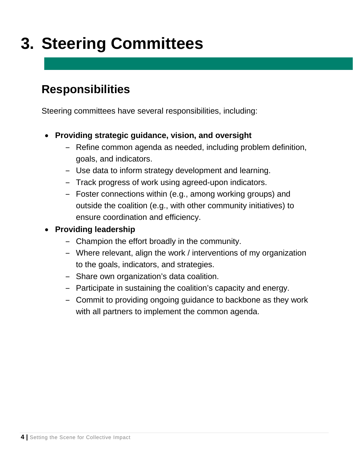## **3. Steering Committees**

### **Responsibilities**

Steering committees have several responsibilities, including:

- **Providing strategic guidance, vision, and oversight**
	- ‒ Refine common agenda as needed, including problem definition, goals, and indicators.
	- ‒ Use data to inform strategy development and learning.
	- ‒ Track progress of work using agreed-upon indicators.
	- ‒ Foster connections within (e.g., among working groups) and outside the coalition (e.g., with other community initiatives) to ensure coordination and efficiency.

### • **Providing leadership**

- ‒ Champion the effort broadly in the community.
- ‒ Where relevant, align the work / interventions of my organization to the goals, indicators, and strategies.
- ‒ Share own organization's data coalition.
- ‒ Participate in sustaining the coalition's capacity and energy.
- Commit to providing ongoing guidance to backbone as they work with all partners to implement the common agenda.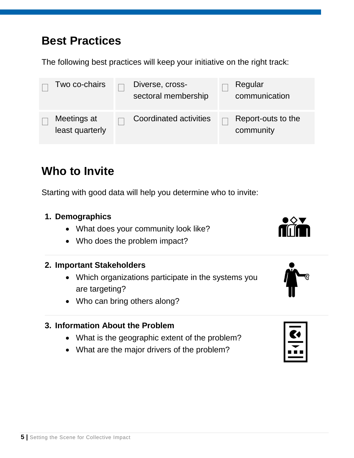### **Best Practices**

The following best practices will keep your initiative on the right track:

| Two co-chairs                  | Diverse, cross-<br>sectoral membership | Regular<br>communication        |
|--------------------------------|----------------------------------------|---------------------------------|
| Meetings at<br>least quarterly | <b>Coordinated activities</b>          | Report-outs to the<br>community |

### **Who to Invite**

Starting with good data will help you determine who to invite:

### **1. Demographics**

- What does your community look like?
- Who does the problem impact?

#### **2. Important Stakeholders**

- Which organizations participate in the systems you are targeting?
- Who can bring others along?

### **3. Information About the Problem**

- What is the geographic extent of the problem?
- What are the major drivers of the problem?



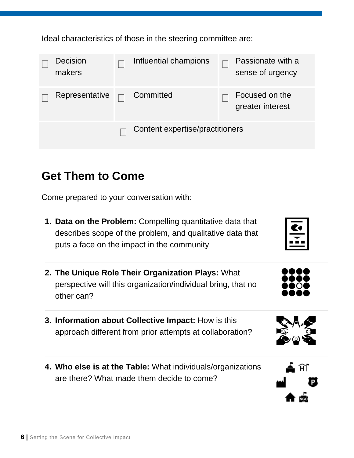Ideal characteristics of those in the steering committee are:

| <b>Decision</b><br>makers | Influential champions           |  | Passionate with a<br>sense of urgency |
|---------------------------|---------------------------------|--|---------------------------------------|
| Representative            | Committed                       |  | Focused on the<br>greater interest    |
|                           | Content expertise/practitioners |  |                                       |

### **Get Them to Come**

Come prepared to your conversation with:

- **1. Data on the Problem:** Compelling quantitative data that describes scope of the problem, and qualitative data that puts a face on the impact in the community
- **2. The Unique Role Their Organization Plays:** What perspective will this organization/individual bring, that no other can?
- **3. Information about Collective Impact:** How is this approach different from prior attempts at collaboration?
- **4. Who else is at the Table:** What individuals/organizations are there? What made them decide to come?



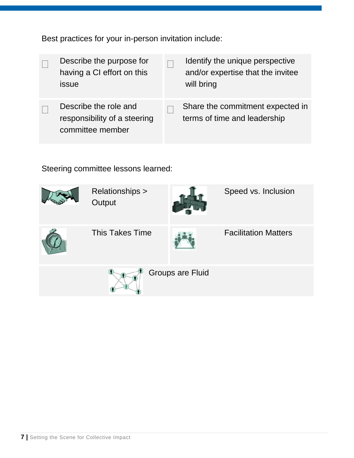Best practices for your in-person invitation include:

| Describe the purpose for<br>having a CI effort on this<br>issue           | Identify the unique perspective<br>and/or expertise that the invitee<br>will bring |
|---------------------------------------------------------------------------|------------------------------------------------------------------------------------|
| Describe the role and<br>responsibility of a steering<br>committee member | Share the commitment expected in<br>terms of time and leadership                   |

Steering committee lessons learned:

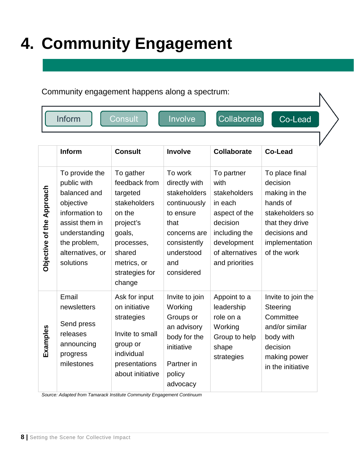# **4. Community Engagement**

#### Community engagement happens along a spectrum:

| Inform<br>Consult |  |  |  |
|-------------------|--|--|--|
|-------------------|--|--|--|

ivolve

Collaborate

Co-Lead

|                           | Inform                                                                                                                                                           | <b>Consult</b>                                                                                                                                             | <b>Involve</b>                                                                                                                                   | <b>Collaborate</b>                                                                                                                              | Co-Lead                                                                                                                                         |
|---------------------------|------------------------------------------------------------------------------------------------------------------------------------------------------------------|------------------------------------------------------------------------------------------------------------------------------------------------------------|--------------------------------------------------------------------------------------------------------------------------------------------------|-------------------------------------------------------------------------------------------------------------------------------------------------|-------------------------------------------------------------------------------------------------------------------------------------------------|
| Objective of the Approach | To provide the<br>public with<br>balanced and<br>objective<br>information to<br>assist them in<br>understanding<br>the problem,<br>alternatives, or<br>solutions | To gather<br>feedback from<br>targeted<br>stakeholders<br>on the<br>project's<br>goals,<br>processes,<br>shared<br>metrics, or<br>strategies for<br>change | To work<br>directly with<br>stakeholders<br>continuously<br>to ensure<br>that<br>concerns are<br>consistently<br>understood<br>and<br>considered | To partner<br>with<br>stakeholders<br>in each<br>aspect of the<br>decision<br>including the<br>development<br>of alternatives<br>and priorities | To place final<br>decision<br>making in the<br>hands of<br>stakeholders so<br>that they drive<br>decisions and<br>implementation<br>of the work |
| Examples                  | Email<br>newsletters<br>Send press<br>releases<br>announcing<br>progress<br>milestones                                                                           | Ask for input<br>on initiative<br>strategies<br>Invite to small<br>group or<br>individual<br>presentations<br>about initiative                             | Invite to join<br>Working<br>Groups or<br>an advisory<br>body for the<br>initiative<br>Partner in<br>policy<br>advocacy                          | Appoint to a<br>leadership<br>role on a<br>Working<br>Group to help<br>shape<br>strategies                                                      | Invite to join the<br>Steering<br>Committee<br>and/or similar<br>body with<br>decision<br>making power<br>in the initiative                     |

*Source: Adapted from Tamarack Institute Community Engagement Continuum*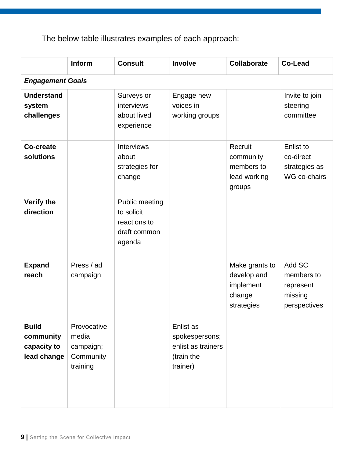The below table illustrates examples of each approach:

|                                                         | <b>Inform</b>                                              | <b>Consult</b>                                                         | Involve                                                                     | Collaborate                                                        | Co-Lead                                                      |
|---------------------------------------------------------|------------------------------------------------------------|------------------------------------------------------------------------|-----------------------------------------------------------------------------|--------------------------------------------------------------------|--------------------------------------------------------------|
| <b>Engagement Goals</b>                                 |                                                            |                                                                        |                                                                             |                                                                    |                                                              |
| <b>Understand</b><br>system<br>challenges               |                                                            | Surveys or<br>interviews<br>about lived<br>experience                  | Engage new<br>voices in<br>working groups                                   |                                                                    | Invite to join<br>steering<br>committee                      |
| <b>Co-create</b><br>solutions                           |                                                            | <b>Interviews</b><br>about<br>strategies for<br>change                 |                                                                             | Recruit<br>community<br>members to<br>lead working<br>groups       | Enlist to<br>co-direct<br>strategies as<br>WG co-chairs      |
| <b>Verify the</b><br>direction                          |                                                            | Public meeting<br>to solicit<br>reactions to<br>draft common<br>agenda |                                                                             |                                                                    |                                                              |
| <b>Expand</b><br>reach                                  | Press / ad<br>campaign                                     |                                                                        |                                                                             | Make grants to<br>develop and<br>implement<br>change<br>strategies | Add SC<br>members to<br>represent<br>missing<br>perspectives |
| <b>Build</b><br>community<br>capacity to<br>lead change | Provocative<br>media<br>campaign;<br>Community<br>training |                                                                        | Enlist as<br>spokespersons;<br>enlist as trainers<br>(train the<br>trainer) |                                                                    |                                                              |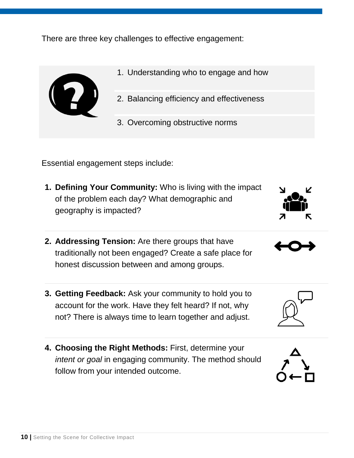There are three key challenges to effective engagement:



- 1. Understanding who to engage and how
- 2. Balancing efficiency and effectiveness
- 3. Overcoming obstructive norms

Essential engagement steps include:

- **1. Defining Your Community:** Who is living with the impact of the problem each day? What demographic and geography is impacted?
- **2. Addressing Tension:** Are there groups that have traditionally not been engaged? Create a safe place for honest discussion between and among groups.
- **3. Getting Feedback:** Ask your community to hold you to account for the work. Have they felt heard? If not, why not? There is always time to learn together and adjust.
- **4. Choosing the Right Methods:** First, determine your *intent or goal* in engaging community. The method should follow from your intended outcome.







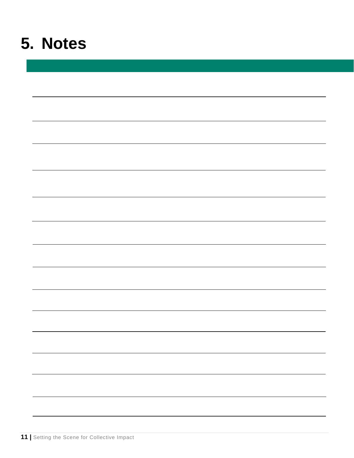### **5. Notes**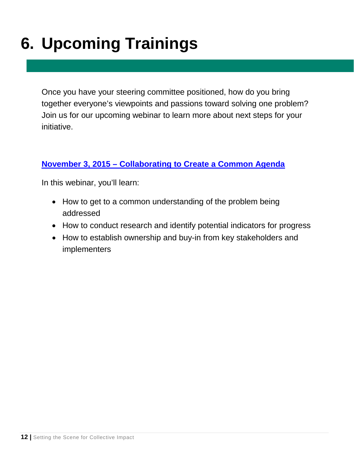# **6. Upcoming Trainings**

Once you have your steering committee positioned, how do you bring together everyone's viewpoints and passions toward solving one problem? Join us for our upcoming webinar to learn more about next steps for your initiative.

### **November 3, 2015 – [Collaborating to Create a Common Agenda](http://online.krm.com/iebms/coe/coe_p2_details.aspx?oc=10&cc=00857603&eventid=22749&m=cif)**

In this webinar, you'll learn:

- How to get to a common understanding of the problem being addressed
- How to conduct research and identify potential indicators for progress
- How to establish ownership and buy-in from key stakeholders and implementers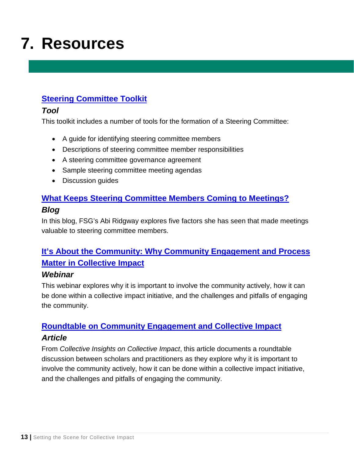## **7. Resources**

### **[Steering Committee Toolkit](http://collectiveimpactforum.org/resources/tools-steering-committees)**

#### *Tool*

This toolkit includes a number of tools for the formation of a Steering Committee:

- A guide for identifying steering committee members
- Descriptions of steering committee member responsibilities
- A steering committee governance agreement
- Sample steering committee meeting agendas
- Discussion guides

### **[What Keeps Steering Committee Members Coming to Meetings?](http://collectiveimpactforum.org/blogs/10276/what-keeps-steering-committee-members-coming-meetings-hint-f-words)** *Blog*

In this blog, FSG's Abi Ridgway explores five factors she has seen that made meetings valuable to steering committee members.

### **[It's About the Community: Why Community Engagement and Process](http://collectiveimpactforum.org/resources/it%E2%80%99s-about-community-why-community-engagement-and-process-matter-collective-impact)  [Matter in Collective Impact](http://collectiveimpactforum.org/resources/it%E2%80%99s-about-community-why-community-engagement-and-process-matter-collective-impact)**

#### *Webinar*

This webinar explores why it is important to involve the community actively, how it can be done within a collective impact initiative, and the challenges and pitfalls of engaging the community.

### **[Roundtable on Community Engagement and Collective Impact](http://collectiveimpactforum.org/resources/roundtable-community-engagement-and-collective-impact)** *Article*

From *Collective Insights on Collective Impact*, this article documents a roundtable discussion between scholars and practitioners as they explore why it is important to involve the community actively, how it can be done within a collective impact initiative, and the challenges and pitfalls of engaging the community.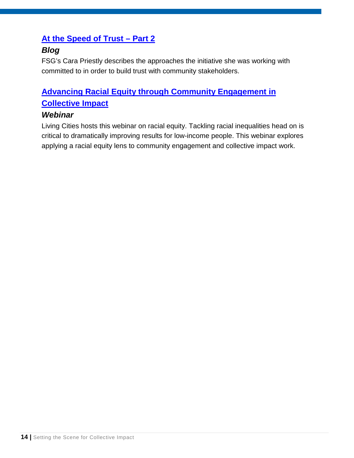### **[At the Speed of Trust –](http://collectiveimpactforum.org/blogs/51506/speed-trust-%E2%80%93-part-2) Part 2**

### *Blog*

FSG's Cara Priestly describes the approaches the initiative she was working with committed to in order to build trust with community stakeholders.

### **[Advancing Racial Equity through Community Engagement in](http://collectiveimpactforum.org/resources/advancing-racial-equity-through-community-engagement-collective-impact)  [Collective Impact](http://collectiveimpactforum.org/resources/advancing-racial-equity-through-community-engagement-collective-impact)**

#### *Webinar*

Living Cities hosts this webinar on racial equity. Tackling racial inequalities head on is critical to dramatically improving results for low-income people. This webinar explores applying a racial equity lens to community engagement and collective impact work.